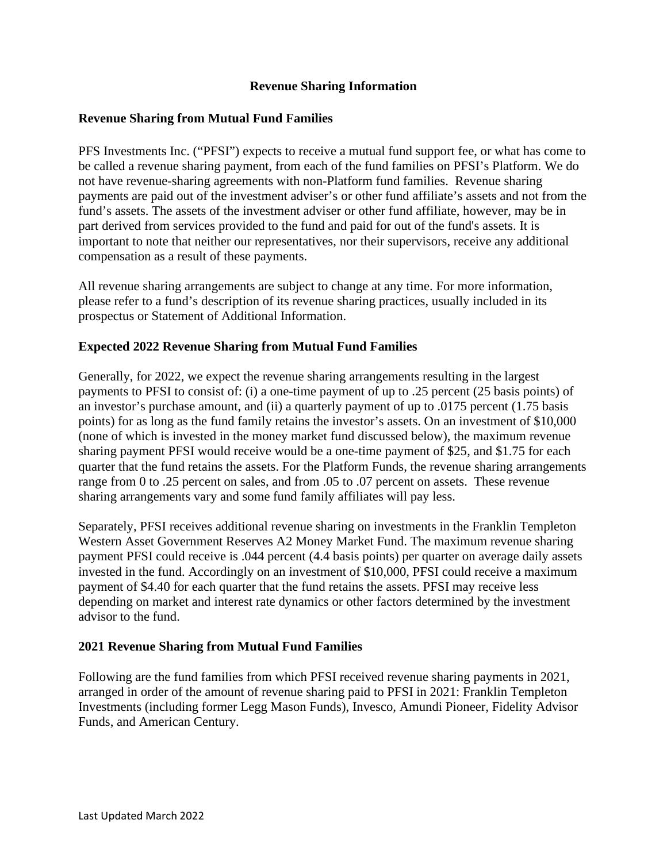# **Revenue Sharing Information**

### **Revenue Sharing from Mutual Fund Families**

PFS Investments Inc. ("PFSI") expects to receive a mutual fund support fee, or what has come to be called a revenue sharing payment, from each of the fund families on PFSI's Platform. We do not have revenue-sharing agreements with non-Platform fund families. Revenue sharing payments are paid out of the investment adviser's or other fund affiliate's assets and not from the fund's assets. The assets of the investment adviser or other fund affiliate, however, may be in part derived from services provided to the fund and paid for out of the fund's assets. It is important to note that neither our representatives, nor their supervisors, receive any additional compensation as a result of these payments.

All revenue sharing arrangements are subject to change at any time. For more information, please refer to a fund's description of its revenue sharing practices, usually included in its prospectus or Statement of Additional Information.

## **Expected 2022 Revenue Sharing from Mutual Fund Families**

Generally, for 2022, we expect the revenue sharing arrangements resulting in the largest payments to PFSI to consist of: (i) a one-time payment of up to .25 percent (25 basis points) of an investor's purchase amount, and (ii) a quarterly payment of up to .0175 percent (1.75 basis points) for as long as the fund family retains the investor's assets. On an investment of \$10,000 (none of which is invested in the money market fund discussed below), the maximum revenue sharing payment PFSI would receive would be a one-time payment of \$25, and \$1.75 for each quarter that the fund retains the assets. For the Platform Funds, the revenue sharing arrangements range from 0 to .25 percent on sales, and from .05 to .07 percent on assets. These revenue sharing arrangements vary and some fund family affiliates will pay less.

Separately, PFSI receives additional revenue sharing on investments in the Franklin Templeton Western Asset Government Reserves A2 Money Market Fund. The maximum revenue sharing payment PFSI could receive is .044 percent (4.4 basis points) per quarter on average daily assets invested in the fund. Accordingly on an investment of \$10,000, PFSI could receive a maximum payment of \$4.40 for each quarter that the fund retains the assets. PFSI may receive less depending on market and interest rate dynamics or other factors determined by the investment advisor to the fund.

#### **2021 Revenue Sharing from Mutual Fund Families**

Following are the fund families from which PFSI received revenue sharing payments in 2021, arranged in order of the amount of revenue sharing paid to PFSI in 2021: Franklin Templeton Investments (including former Legg Mason Funds), Invesco, Amundi Pioneer, Fidelity Advisor Funds, and American Century.